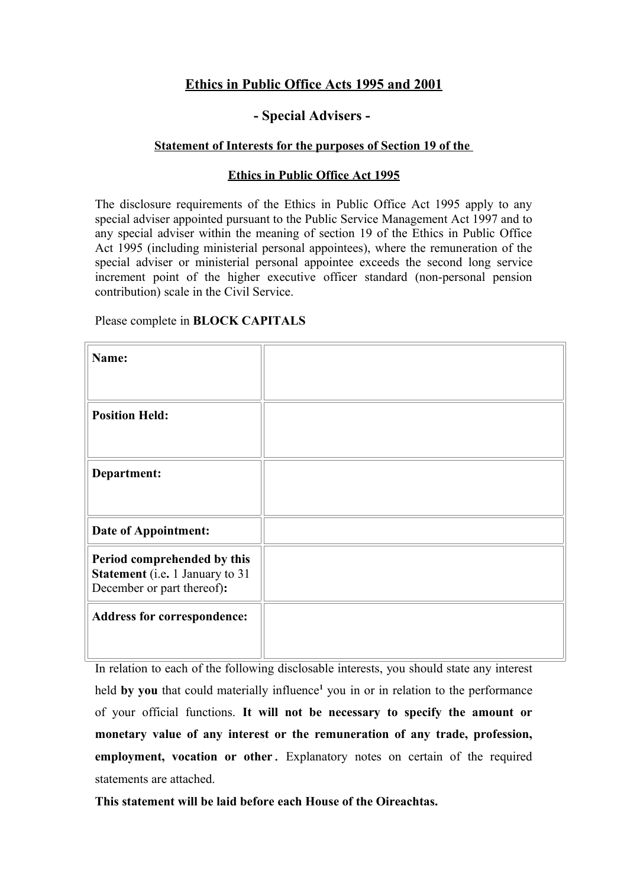### **Ethics in Public Office Acts 1995 and 2001**

#### **- Special Advisers -**

#### **Statement of Interests for the purposes of Section 19 of the**

#### **Ethics in Public Office Act 1995**

The disclosure requirements of the Ethics in Public Office Act 1995 apply to any special adviser appointed pursuant to the Public Service Management Act 1997 and to any special adviser within the meaning of section 19 of the Ethics in Public Office Act 1995 (including ministerial personal appointees), where the remuneration of the special adviser or ministerial personal appointee exceeds the second long service increment point of the higher executive officer standard (non-personal pension contribution) scale in the Civil Service.

Please complete in **BLOCK CAPITALS**

| Name:                                                                                               |  |
|-----------------------------------------------------------------------------------------------------|--|
|                                                                                                     |  |
| <b>Position Held:</b>                                                                               |  |
|                                                                                                     |  |
| Department:                                                                                         |  |
|                                                                                                     |  |
| <b>Date of Appointment:</b>                                                                         |  |
| Period comprehended by this<br><b>Statement</b> (i.e. 1 January to 31<br>December or part thereof): |  |
| <b>Address for correspondence:</b>                                                                  |  |
|                                                                                                     |  |

In relation to each of the following disclosable interests, you should state any interest held by you that could materially influence<sup>1</sup> you in or in relation to the performance of your official functions. **It will not be necessary to specify the amount or monetary value of any interest or the remuneration of any trade, profession, employment, vocation or other**. Explanatory notes on certain of the required statements are attached.

**This statement will be laid before each House of the Oireachtas.**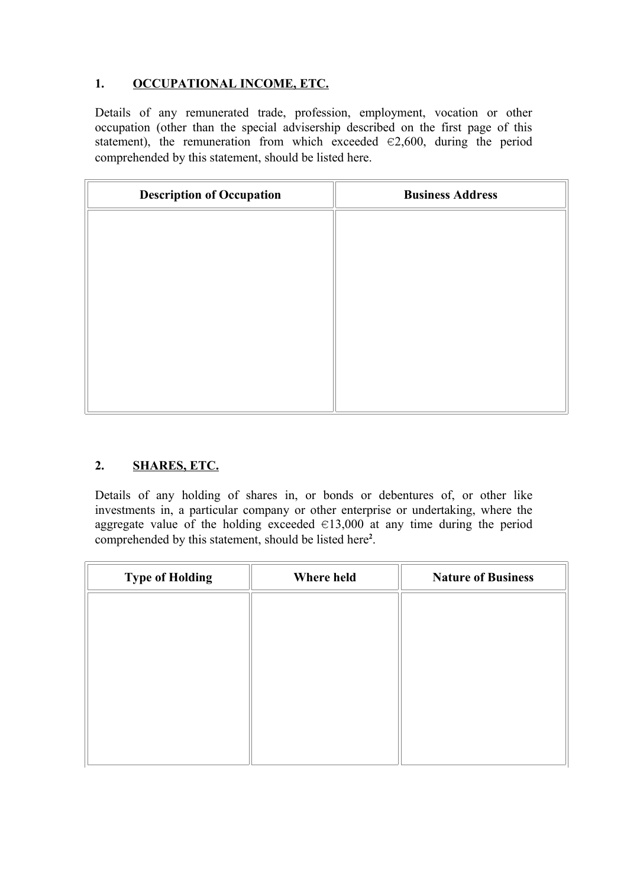# **1. OCCUPATIONAL INCOME, ETC.**

Details of any remunerated trade, profession, employment, vocation or other occupation (other than the special advisership described on the first page of this statement), the remuneration from which exceeded  $\in 2,600$ , during the period comprehended by this statement, should be listed here.

| <b>Description of Occupation</b> | <b>Business Address</b> |
|----------------------------------|-------------------------|
|                                  |                         |
|                                  |                         |
|                                  |                         |
|                                  |                         |
|                                  |                         |
|                                  |                         |
|                                  |                         |
|                                  |                         |

# **2. SHARES, ETC.**

Details of any holding of shares in, or bonds or debentures of, or other like investments in, a particular company or other enterprise or undertaking, where the aggregate value of the holding exceeded  $\in$ 13,000 at any time during the period comprehended by this statement, should be listed here**<sup>2</sup>** .

| <b>Type of Holding</b> | Where held | <b>Nature of Business</b> |
|------------------------|------------|---------------------------|
|                        |            |                           |
|                        |            |                           |
|                        |            |                           |
|                        |            |                           |
|                        |            |                           |
|                        |            |                           |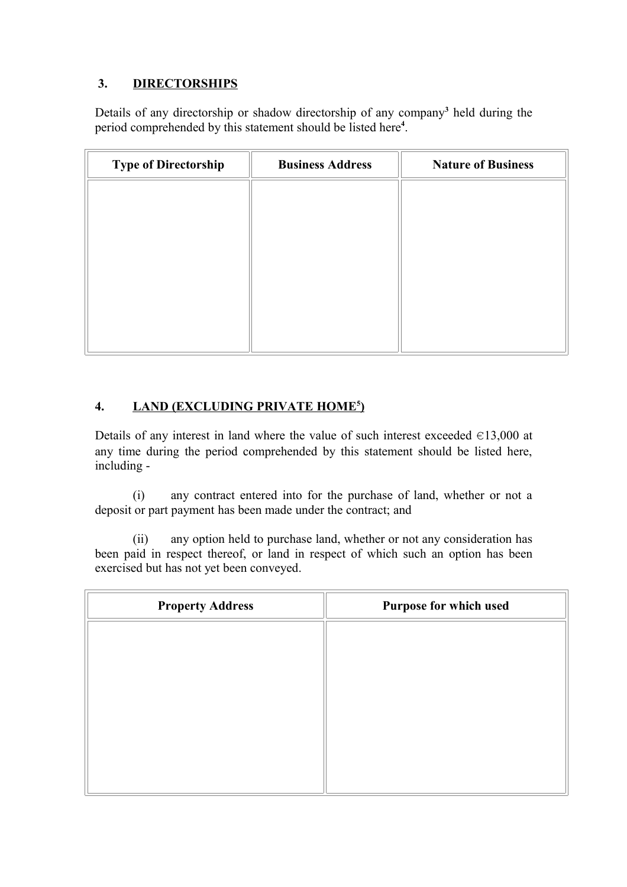# **3. DIRECTORSHIPS**

Details of any directorship or shadow directorship of any company**<sup>3</sup>** held during the period comprehended by this statement should be listed here**<sup>4</sup>** .

| <b>Type of Directorship</b> | <b>Business Address</b> | <b>Nature of Business</b> |
|-----------------------------|-------------------------|---------------------------|
|                             |                         |                           |
|                             |                         |                           |
|                             |                         |                           |
|                             |                         |                           |
|                             |                         |                           |
|                             |                         |                           |

### **4. LAND (EXCLUDING PRIVATE HOME<sup>5</sup> )**

Details of any interest in land where the value of such interest exceeded  $\in$ 13,000 at any time during the period comprehended by this statement should be listed here, including -

(i) any contract entered into for the purchase of land, whether or not a deposit or part payment has been made under the contract; and

(ii) any option held to purchase land, whether or not any consideration has been paid in respect thereof, or land in respect of which such an option has been exercised but has not yet been conveyed.

| <b>Property Address</b> | Purpose for which used |
|-------------------------|------------------------|
|                         |                        |
|                         |                        |
|                         |                        |
|                         |                        |
|                         |                        |
|                         |                        |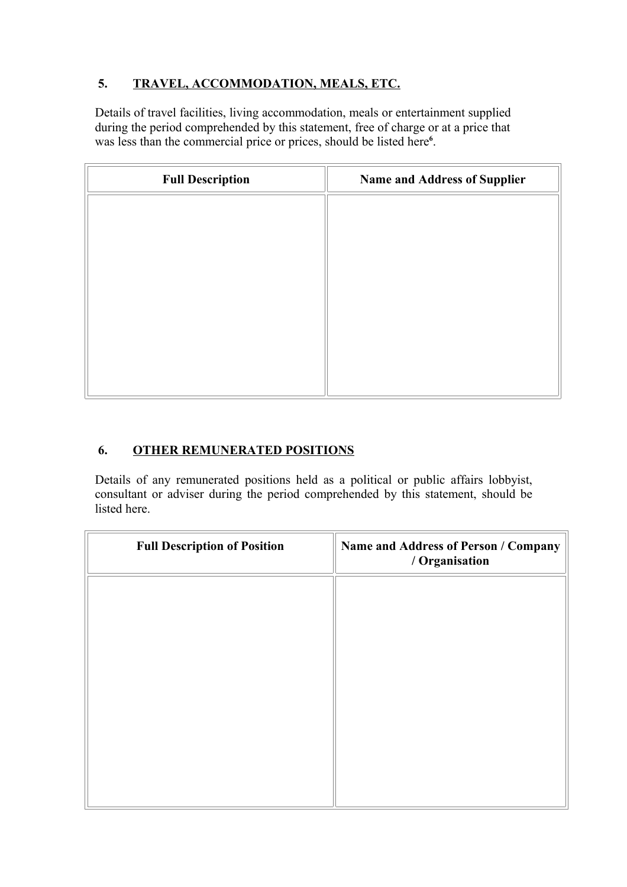# **5. TRAVEL, ACCOMMODATION, MEALS, ETC.**

Details of travel facilities, living accommodation, meals or entertainment supplied during the period comprehended by this statement, free of charge or at a price that was less than the commercial price or prices, should be listed here**<sup>6</sup>** .

| <b>Full Description</b> | <b>Name and Address of Supplier</b> |
|-------------------------|-------------------------------------|
|                         |                                     |
|                         |                                     |
|                         |                                     |
|                         |                                     |
|                         |                                     |
|                         |                                     |
|                         |                                     |
|                         |                                     |

# **6. OTHER REMUNERATED POSITIONS**

Details of any remunerated positions held as a political or public affairs lobbyist, consultant or adviser during the period comprehended by this statement, should be listed here.

| <b>Full Description of Position</b> | Name and Address of Person / Company<br>/ Organisation |
|-------------------------------------|--------------------------------------------------------|
|                                     |                                                        |
|                                     |                                                        |
|                                     |                                                        |
|                                     |                                                        |
|                                     |                                                        |
|                                     |                                                        |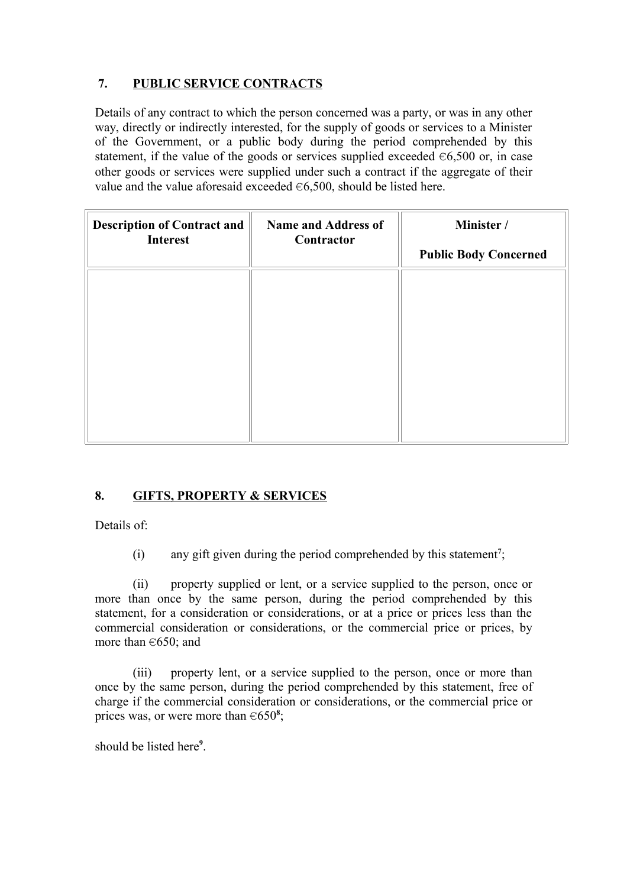### **7. PUBLIC SERVICE CONTRACTS**

Details of any contract to which the person concerned was a party, or was in any other way, directly or indirectly interested, for the supply of goods or services to a Minister of the Government, or a public body during the period comprehended by this statement, if the value of the goods or services supplied exceeded  $\in 6,500$  or, in case other goods or services were supplied under such a contract if the aggregate of their value and the value aforesaid exceeded  $\in 6,500$ , should be listed here.

| <b>Description of Contract and</b><br><b>Interest</b> | <b>Name and Address of</b><br>Contractor | Minister /<br><b>Public Body Concerned</b> |
|-------------------------------------------------------|------------------------------------------|--------------------------------------------|
|                                                       |                                          |                                            |
|                                                       |                                          |                                            |
|                                                       |                                          |                                            |
|                                                       |                                          |                                            |
|                                                       |                                          |                                            |

#### **8. GIFTS, PROPERTY & SERVICES**

Details of:

(i) any gift given during the period comprehended by this statement**<sup>7</sup>** ;

(ii) property supplied or lent, or a service supplied to the person, once or more than once by the same person, during the period comprehended by this statement, for a consideration or considerations, or at a price or prices less than the commercial consideration or considerations, or the commercial price or prices, by more than  $\in 650$ ; and

(iii) property lent, or a service supplied to the person, once or more than once by the same person, during the period comprehended by this statement, free of charge if the commercial consideration or considerations, or the commercial price or prices was, or were more than  $\in 650^8$ ;

should be listed here**<sup>9</sup>** .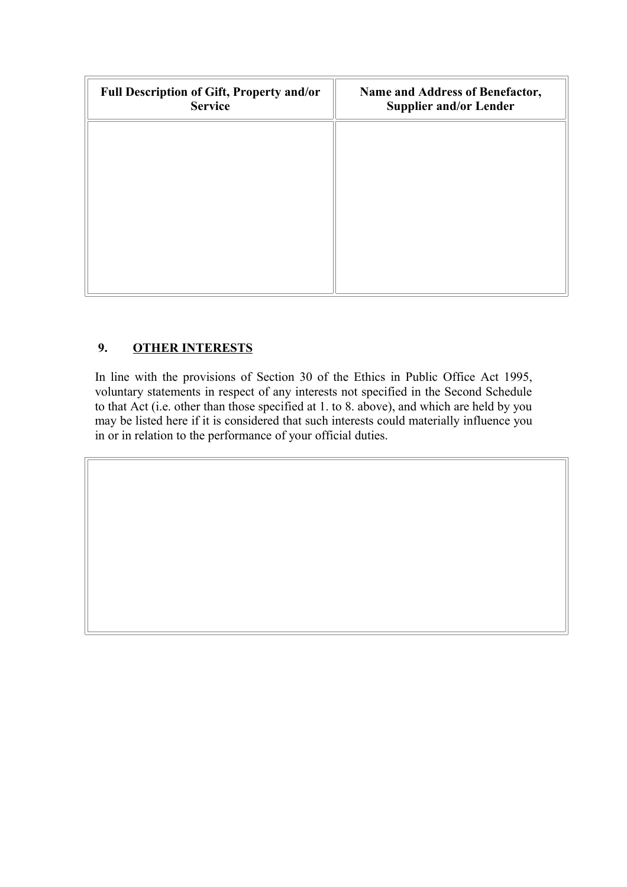| Full Description of Gift, Property and/or<br><b>Service</b> | Name and Address of Benefactor,<br><b>Supplier and/or Lender</b> |
|-------------------------------------------------------------|------------------------------------------------------------------|
|                                                             |                                                                  |
|                                                             |                                                                  |
|                                                             |                                                                  |
|                                                             |                                                                  |
|                                                             |                                                                  |

# **9. OTHER INTERESTS**

In line with the provisions of Section 30 of the Ethics in Public Office Act 1995, voluntary statements in respect of any interests not specified in the Second Schedule to that Act (i.e. other than those specified at 1. to 8. above), and which are held by you may be listed here if it is considered that such interests could materially influence you in or in relation to the performance of your official duties.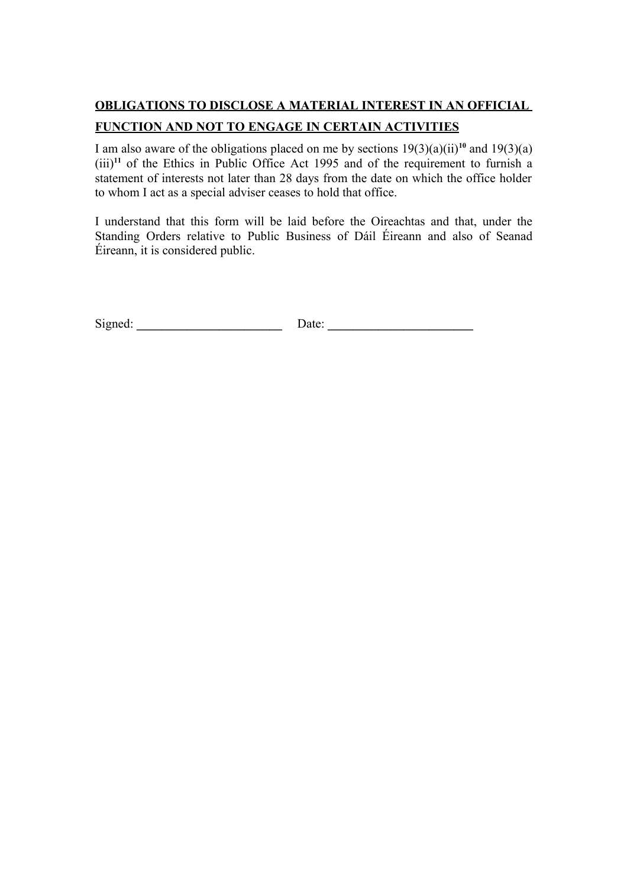# **OBLIGATIONS TO DISCLOSE A MATERIAL INTEREST IN AN OFFICIAL**

#### **FUNCTION AND NOT TO ENGAGE IN CERTAIN ACTIVITIES**

I am also aware of the obligations placed on me by sections  $19(3)(a)(ii)^{10}$  and  $19(3)(a)$ (iii)**<sup>11</sup>** of the Ethics in Public Office Act 1995 and of the requirement to furnish a statement of interests not later than 28 days from the date on which the office holder to whom I act as a special adviser ceases to hold that office.

I understand that this form will be laid before the Oireachtas and that, under the Standing Orders relative to Public Business of Dáil Éireann and also of Seanad Éireann, it is considered public.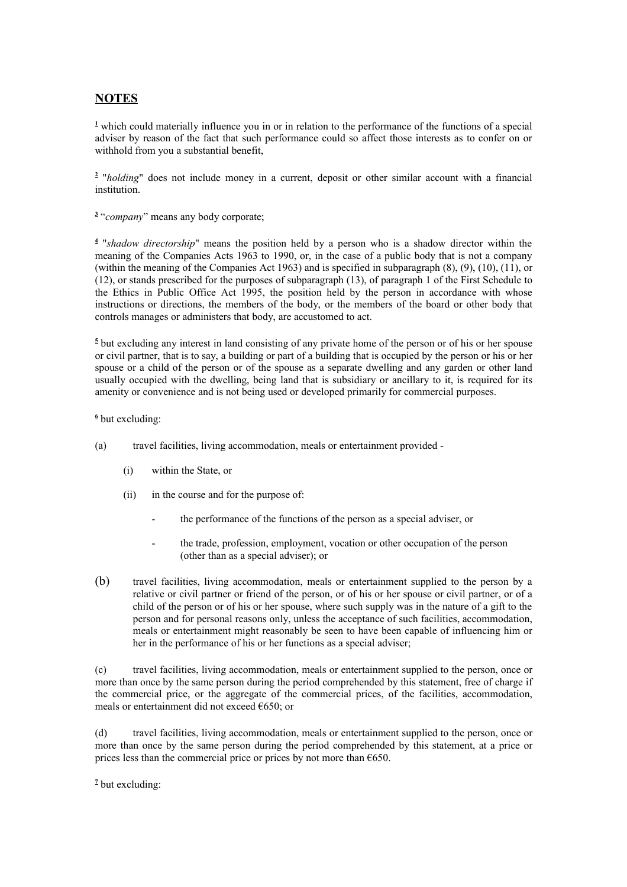#### **NOTES**

<sup>1</sup> which could materially influence you in or in relation to the performance of the functions of a special adviser by reason of the fact that such performance could so affect those interests as to confer on or withhold from you a substantial benefit,

**2** "*holding*" does not include money in a current, deposit or other similar account with a financial institution.

<sup>3</sup> "*company*" means any body corporate;

**4** "*shadow directorship*" means the position held by a person who is a shadow director within the meaning of the Companies Acts 1963 to 1990, or, in the case of a public body that is not a company (within the meaning of the Companies Act 1963) and is specified in subparagraph (8), (9), (10), (11), or (12), or stands prescribed for the purposes of subparagraph (13), of paragraph 1 of the First Schedule to the Ethics in Public Office Act 1995, the position held by the person in accordance with whose instructions or directions, the members of the body, or the members of the board or other body that controls manages or administers that body, are accustomed to act.

<sup>5</sup> but excluding any interest in land consisting of any private home of the person or of his or her spouse or civil partner, that is to say, a building or part of a building that is occupied by the person or his or her spouse or a child of the person or of the spouse as a separate dwelling and any garden or other land usually occupied with the dwelling, being land that is subsidiary or ancillary to it, is required for its amenity or convenience and is not being used or developed primarily for commercial purposes.

#### **6** but excluding:

- (a) travel facilities, living accommodation, meals or entertainment provided
	- (i) within the State, or
	- (ii) in the course and for the purpose of:
		- the performance of the functions of the person as a special adviser, or
		- the trade, profession, employment, vocation or other occupation of the person (other than as a special adviser); or
- (b) travel facilities, living accommodation, meals or entertainment supplied to the person by a relative or civil partner or friend of the person, or of his or her spouse or civil partner, or of a child of the person or of his or her spouse, where such supply was in the nature of a gift to the person and for personal reasons only, unless the acceptance of such facilities, accommodation, meals or entertainment might reasonably be seen to have been capable of influencing him or her in the performance of his or her functions as a special adviser;

(c) travel facilities, living accommodation, meals or entertainment supplied to the person, once or more than once by the same person during the period comprehended by this statement, free of charge if the commercial price, or the aggregate of the commercial prices, of the facilities, accommodation, meals or entertainment did not exceed €650; or

(d) travel facilities, living accommodation, meals or entertainment supplied to the person, once or more than once by the same person during the period comprehended by this statement, at a price or prices less than the commercial price or prices by not more than  $\epsilon$ 650.

<sup>2</sup> but excluding: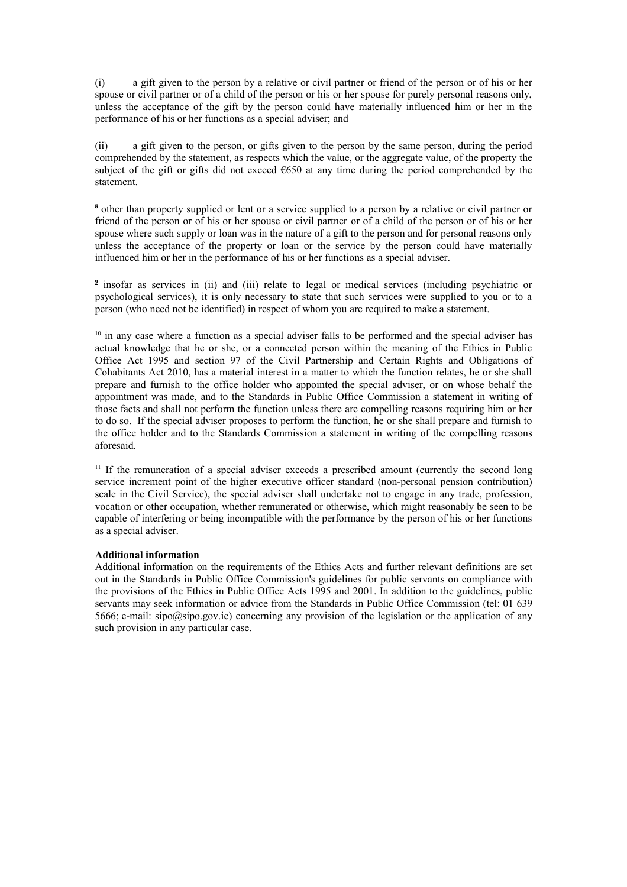(i) a gift given to the person by a relative or civil partner or friend of the person or of his or her spouse or civil partner or of a child of the person or his or her spouse for purely personal reasons only, unless the acceptance of the gift by the person could have materially influenced him or her in the performance of his or her functions as a special adviser; and

(ii) a gift given to the person, or gifts given to the person by the same person, during the period comprehended by the statement, as respects which the value, or the aggregate value, of the property the subject of the gift or gifts did not exceed  $\epsilon$ 650 at any time during the period comprehended by the statement.

<sup>8</sup> other than property supplied or lent or a service supplied to a person by a relative or civil partner or friend of the person or of his or her spouse or civil partner or of a child of the person or of his or her spouse where such supply or loan was in the nature of a gift to the person and for personal reasons only unless the acceptance of the property or loan or the service by the person could have materially influenced him or her in the performance of his or her functions as a special adviser.

<sup>2</sup> insofar as services in (ii) and (iii) relate to legal or medical services (including psychiatric or psychological services), it is only necessary to state that such services were supplied to you or to a person (who need not be identified) in respect of whom you are required to make a statement.

 $10$  in any case where a function as a special adviser falls to be performed and the special adviser has actual knowledge that he or she, or a connected person within the meaning of the Ethics in Public Office Act 1995 and section 97 of the Civil Partnership and Certain Rights and Obligations of Cohabitants Act 2010, has a material interest in a matter to which the function relates, he or she shall prepare and furnish to the office holder who appointed the special adviser, or on whose behalf the appointment was made, and to the Standards in Public Office Commission a statement in writing of those facts and shall not perform the function unless there are compelling reasons requiring him or her to do so. If the special adviser proposes to perform the function, he or she shall prepare and furnish to the office holder and to the Standards Commission a statement in writing of the compelling reasons aforesaid.

 $11$  If the remuneration of a special adviser exceeds a prescribed amount (currently the second long service increment point of the higher executive officer standard (non-personal pension contribution) scale in the Civil Service), the special adviser shall undertake not to engage in any trade, profession, vocation or other occupation, whether remunerated or otherwise, which might reasonably be seen to be capable of interfering or being incompatible with the performance by the person of his or her functions as a special adviser.

#### **Additional information**

Additional information on the requirements of the Ethics Acts and further relevant definitions are set out in the Standards in Public Office Commission's guidelines for public servants on compliance with the provisions of the Ethics in Public Office Acts 1995 and 2001. In addition to the guidelines, public servants may seek information or advice from the Standards in Public Office Commission (tel: 01 639 5666; e-mail: [sipo@sipo.gov.ie\)](mailto:sipo@sipo.gov.ie) concerning any provision of the legislation or the application of any such provision in any particular case.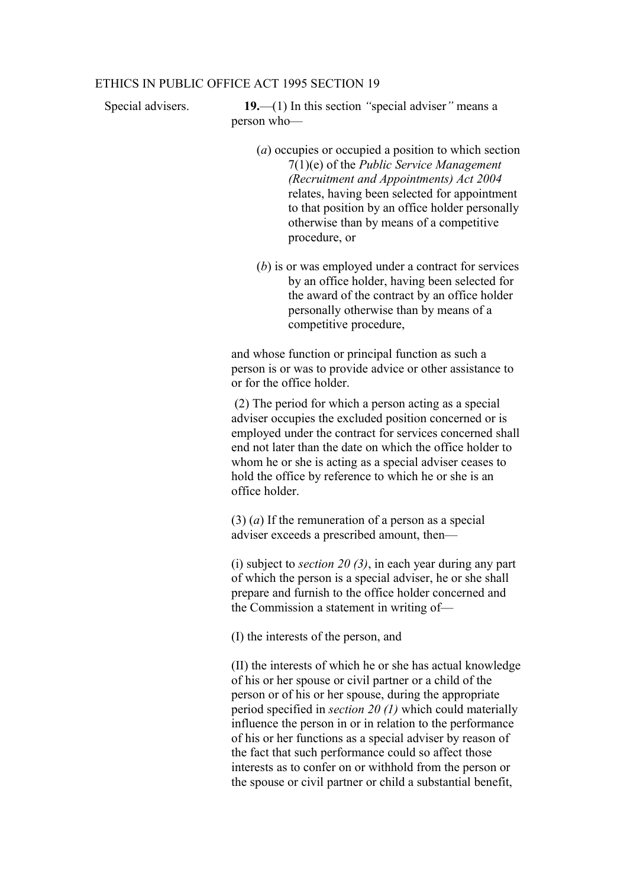#### ETHICS IN PUBLIC OFFICE ACT 1995 SECTION 19

Special advisers. **19.**—(1) In this section *"*special adviser*"* means a person who—

- (*a*) occupies or occupied a position to which section 7(1)(e) of the *Public Service Management (Recruitment and Appointments) Act 2004* relates, having been selected for appointment to that position by an office holder personally otherwise than by means of a competitive procedure, or
- (*b*) is or was employed under a contract for services by an office holder, having been selected for the award of the contract by an office holder personally otherwise than by means of a competitive procedure,

and whose function or principal function as such a person is or was to provide advice or other assistance to or for the office holder.

 (2) The period for which a person acting as a special adviser occupies the excluded position concerned or is employed under the contract for services concerned shall end not later than the date on which the office holder to whom he or she is acting as a special adviser ceases to hold the office by reference to which he or she is an office holder.

(3) (*a*) If the remuneration of a person as a special adviser exceeds a prescribed amount, then—

(i) subject to *section 20 (3)*, in each year during any part of which the person is a special adviser, he or she shall prepare and furnish to the office holder concerned and the Commission a statement in writing of—

(I) the interests of the person, and

(II) the interests of which he or she has actual knowledge of his or her spouse or civil partner or a child of the person or of his or her spouse, during the appropriate period specified in *section 20 (1)* which could materially influence the person in or in relation to the performance of his or her functions as a special adviser by reason of the fact that such performance could so affect those interests as to confer on or withhold from the person or the spouse or civil partner or child a substantial benefit,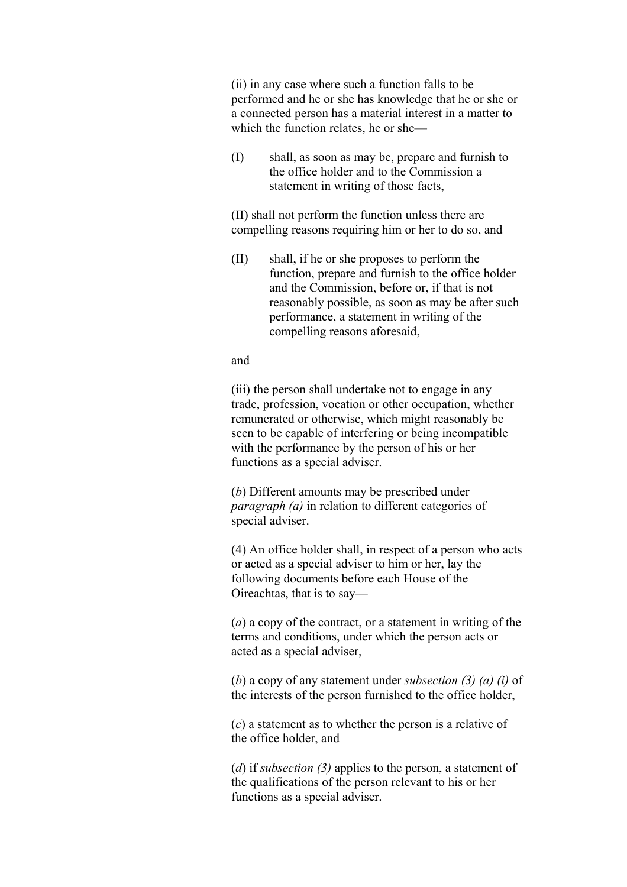(ii) in any case where such a function falls to be performed and he or she has knowledge that he or she or a connected person has a material interest in a matter to which the function relates, he or she—

(I) shall, as soon as may be, prepare and furnish to the office holder and to the Commission a statement in writing of those facts,

(II) shall not perform the function unless there are compelling reasons requiring him or her to do so, and

(II) shall, if he or she proposes to perform the function, prepare and furnish to the office holder and the Commission, before or, if that is not reasonably possible, as soon as may be after such performance, a statement in writing of the compelling reasons aforesaid,

and

(iii) the person shall undertake not to engage in any trade, profession, vocation or other occupation, whether remunerated or otherwise, which might reasonably be seen to be capable of interfering or being incompatible with the performance by the person of his or her functions as a special adviser.

(*b*) Different amounts may be prescribed under *paragraph (a)* in relation to different categories of special adviser.

(4) An office holder shall, in respect of a person who acts or acted as a special adviser to him or her, lay the following documents before each House of the Oireachtas, that is to say—

(*a*) a copy of the contract, or a statement in writing of the terms and conditions, under which the person acts or acted as a special adviser,

(*b*) a copy of any statement under *subsection (3) (a) (i)* of the interests of the person furnished to the office holder,

(*c*) a statement as to whether the person is a relative of the office holder, and

(*d*) if *subsection (3)* applies to the person, a statement of the qualifications of the person relevant to his or her functions as a special adviser.